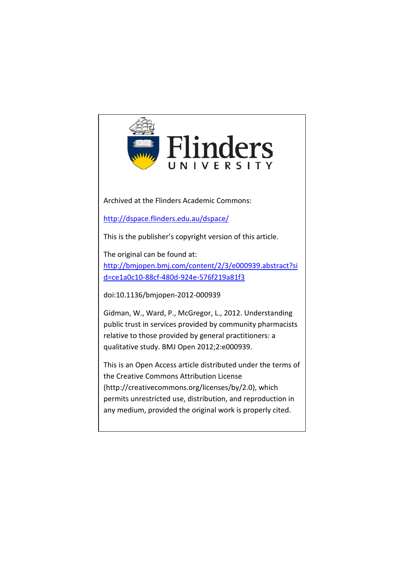

Archived at the Flinders Academic Commons:

<http://dspace.flinders.edu.au/dspace/>

This is the publisher's copyright version of this article.

The original can be found at: [http://bmjopen.bmj.com/content/2/3/e000939.abstract?si](http://bmjopen.bmj.com/content/2/3/e000939.abstract?sid=ce1a0c10-88cf-480d-924e-576f219a81f3) [d=ce1a0c10-88cf-480d-924e-576f219a81f3](http://bmjopen.bmj.com/content/2/3/e000939.abstract?sid=ce1a0c10-88cf-480d-924e-576f219a81f3)

doi:10.1136/bmjopen-2012-000939

Gidman, W., Ward, P., McGregor, L., 2012. Understanding public trust in services provided by community pharmacists relative to those provided by general practitioners: a qualitative study. BMJ Open 2012;2:e000939.

This is an Open Access article distributed under the terms of the Creative Commons Attribution License (http://creativecommons.org/licenses/by/2.0), which permits unrestricted use, distribution, and reproduction in any medium, provided the original work is properly cited.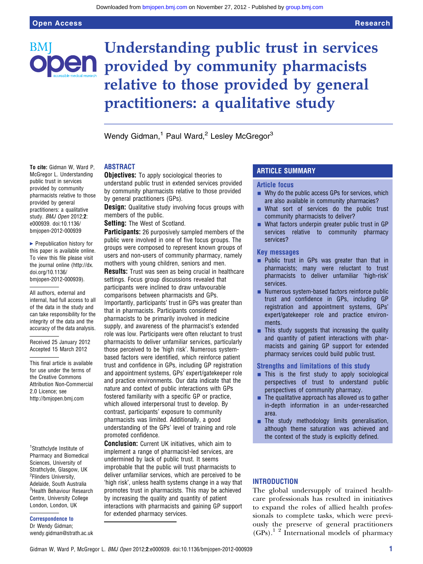BMI

# Understanding public trust in services **Pen** provided by community pharmacists relative to those provided by general practitioners: a qualitative study

Wendy Gidman,<sup>1</sup> Paul Ward,<sup>2</sup> Lesley McGregor<sup>3</sup>

#### To cite: Gidman W, Ward P, McGregor L. Understanding public trust in services provided by community pharmacists relative to those provided by general practitioners: a qualitative study. BMJ Open 2012;2: e000939. doi:10.1136/

**Prepublication history for** this paper is available online. To view this file please visit the journal online (http://dx. doi.org/10.1136/ bmjopen-2012-000939).

bmjopen-2012-000939

All authors, external and internal, had full access to all of the data in the study and can take responsibility for the integrity of the data and the accuracy of the data analysis.

Received 25 January 2012 Accepted 15 March 2012

This final article is available for use under the terms of the Creative Commons Attribution Non-Commercial 2.0 Licence; see http://bmjopen.bmj.com

#### <sup>1</sup>Strathclyde Institute of Pharmacy and Biomedical Sciences, University of Strathclyde, Glasgow, UK <sup>2</sup>Flinders University, Adelaide, South Australia <sup>3</sup>Health Behaviour Research Centre, University College London, London, UK

Correspondence to Dr Wendy Gidman;

wendy.gidman@strath.ac.uk

# ABSTRACT

**Objectives:** To apply sociological theories to understand public trust in extended services provided by community pharmacists relative to those provided by general practitioners (GPs).

**Design:** Qualitative study involving focus groups with members of the public.

Setting: The West of Scotland.

Participants: 26 purposively sampled members of the public were involved in one of five focus groups. The groups were composed to represent known groups of users and non-users of community pharmacy, namely mothers with young children, seniors and men.

**Results:** Trust was seen as being crucial in healthcare settings. Focus group discussions revealed that participants were inclined to draw unfavourable comparisons between pharmacists and GPs. Importantly, participants' trust in GPs was greater than that in pharmacists. Participants considered pharmacists to be primarily involved in medicine supply, and awareness of the pharmacist's extended role was low. Participants were often reluctant to trust pharmacists to deliver unfamiliar services, particularly those perceived to be 'high risk'. Numerous systembased factors were identified, which reinforce patient trust and confidence in GPs, including GP registration and appointment systems, GPs' expert/gatekeeper role and practice environments. Our data indicate that the nature and context of public interactions with GPs fostered familiarity with a specific GP or practice, which allowed interpersonal trust to develop. By contrast, participants' exposure to community pharmacists was limited. Additionally, a good understanding of the GPs' level of training and role promoted confidence.

Conclusion: Current UK initiatives, which aim to implement a range of pharmacist-led services, are undermined by lack of public trust. It seems improbable that the public will trust pharmacists to deliver unfamiliar services, which are perceived to be 'high risk', unless health systems change in a way that promotes trust in pharmacists. This may be achieved by increasing the quality and quantity of patient interactions with pharmacists and gaining GP support for extended pharmacy services.

# ARTICLE SUMMARY

#### Article focus

- $\blacksquare$  Why do the public access GPs for services, which are also available in community pharmacies?
- **N** What sort of services do the public trust community pharmacists to deliver?
- What factors underpin greater public trust in GP services relative to community pharmacy services?

#### Key messages

- **Public trust in GPs was greater than that in** pharmacists; many were reluctant to trust pharmacists to deliver unfamiliar 'high-risk' services.
- **Numerous system-based factors reinforce public** trust and confidence in GPs, including GP registration and appointment systems, GPs' expert/gatekeeper role and practice environments.
- $\blacksquare$  This study suggests that increasing the quality and quantity of patient interactions with pharmacists and gaining GP support for extended pharmacy services could build public trust.

#### Strengths and limitations of this study

- $\blacksquare$  This is the first study to apply sociological perspectives of trust to understand public perspectives of community pharmacy.
- $\blacksquare$  The qualitative approach has allowed us to gather in-depth information in an under-researched area.
- $\blacksquare$  The study methodology limits generalisation, although theme saturation was achieved and the context of the study is explicitly defined.

# INTRODUCTION

The global undersupply of trained healthcare professionals has resulted in initiatives to expand the roles of allied health professionals to complete tasks, which were previously the preserve of general practitioners  $(GPs).$ <sup>1 2</sup> International models of pharmacy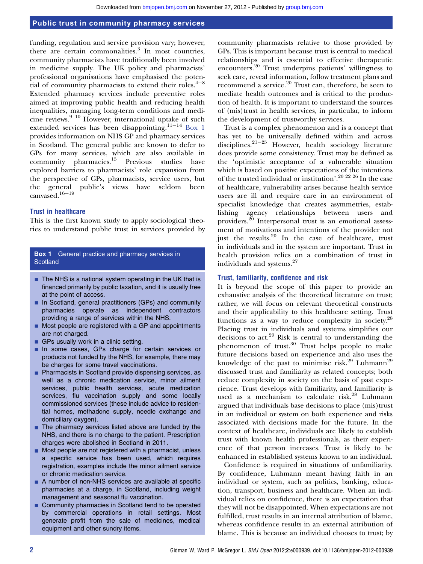funding, regulation and service provision vary; however, there are certain commonalities. $3$  In most countries, community pharmacists have traditionally been involved in medicine supply. The UK policy and pharmacists' professional organisations have emphasised the potential of community pharmacists to extend their roles. $4-8$ Extended pharmacy services include preventive roles aimed at improving public health and reducing health inequalities, managing long-term conditions and medicine reviews. $9^{10}$  However, international uptake of such extended services has been disappointing.<sup>11-14</sup> Box 1 provides information on NHS GP and pharmacy services in Scotland. The general public are known to defer to GPs for many services, which are also available in community pharmacies.<sup>15</sup> Previous studies have explored barriers to pharmacists' role expansion from the perspective of GPs, pharmacists, service users, but the general public's views have seldom been  $c$ anvased.<sup>16-19</sup>

# Trust in healthcare

This is the first known study to apply sociological theories to understand public trust in services provided by

# **Box 1** General practice and pharmacy services in **Scotland**

- $\blacksquare$  The NHS is a national system operating in the UK that is financed primarily by public taxation, and it is usually free at the point of access.
- $\blacksquare$  In Scotland, general practitioners (GPs) and community pharmacies operate as independent contractors providing a range of services within the NHS.
- **Nost people are registered with a GP and appointments** are not charged.
- **GPs usually work in a clinic setting.**
- In some cases, GPs charge for certain services or products not funded by the NHS, for example, there may be charges for some travel vaccinations.
- **Pharmacists in Scotland provide dispensing services, as** well as a chronic medication service, minor ailment services, public health services, acute medication services, flu vaccination supply and some locally commissioned services (these include advice to residential homes, methadone supply, needle exchange and domiciliary oxygen).
- **The pharmacy services listed above are funded by the** NHS, and there is no charge to the patient. Prescription charges were abolished in Scotland in 2011.
- $\blacksquare$  Most people are not registered with a pharmacist, unless a specific service has been used, which requires registration, examples include the minor ailment service or chronic medication service.
- A number of non-NHS services are available at specific pharmacies at a charge, in Scotland, including weight management and seasonal flu vaccination.
- **Community pharmacies in Scotland tend to be operated** by commercial operations in retail settings. Most generate profit from the sale of medicines, medical equipment and other sundry items.

community pharmacists relative to those provided by GPs. This is important because trust is central to medical relationships and is essential to effective therapeutic encounters.<sup>20</sup> Trust underpins patients' willingness to seek care, reveal information, follow treatment plans and recommend a service.<sup>20</sup> Trust can, therefore, be seen to mediate health outcomes and is critical to the production of health. It is important to understand the sources of (mis)trust in health services, in particular, to inform the development of trustworthy services.

Trust is a complex phenomenon and is a concept that has yet to be universally defined within and across disciplines.<sup>21-25</sup> However, health sociology literature does provide some consistency. Trust may be defined as the 'optimistic acceptance of a vulnerable situation which is based on positive expectations of the intentions of the trusted individual or institution'.20 22 26 In the case of healthcare, vulnerability arises because health service users are ill and require care in an environment of specialist knowledge that creates asymmetries, establishing agency relationships between users and providers.<sup>20</sup> Interpersonal trust is an emotional assessment of motivations and intentions of the provider not just the results.<sup>20</sup> In the case of healthcare, trust in individuals and in the system are important. Trust in health provision relies on a combination of trust in individuals and systems.<sup>27</sup>

## Trust, familiarity, confidence and risk

It is beyond the scope of this paper to provide an exhaustive analysis of the theoretical literature on trust; rather, we will focus on relevant theoretical constructs and their applicability to this healthcare setting. Trust functions as a way to reduce complexity in society.<sup>28</sup> Placing trust in individuals and systems simplifies our decisions to act.<sup>29</sup> Risk is central to understanding the phenomenon of trust.<sup>30</sup> Trust helps people to make future decisions based on experience and also uses the knowledge of the past to minimise risk.<sup>29</sup> Luhmann<sup>29</sup> discussed trust and familiarity as related concepts; both reduce complexity in society on the basis of past experience. Trust develops with familiarity, and familiarity is used as a mechanism to calculate risk.<sup>28</sup> Luhmann argued that individuals base decisions to place (mis)trust in an individual or system on both experience and risks associated with decisions made for the future. In the context of healthcare, individuals are likely to establish trust with known health professionals, as their experience of that person increases. Trust is likely to be enhanced in established systems known to an individual.

Confidence is required in situations of unfamiliarity. By confidence, Luhmann meant having faith in an individual or system, such as politics, banking, education, transport, business and healthcare. When an individual relies on confidence, there is an expectation that they will not be disappointed. When expectations are not fulfilled, trust results in an internal attribution of blame, whereas confidence results in an external attribution of blame. This is because an individual chooses to trust; by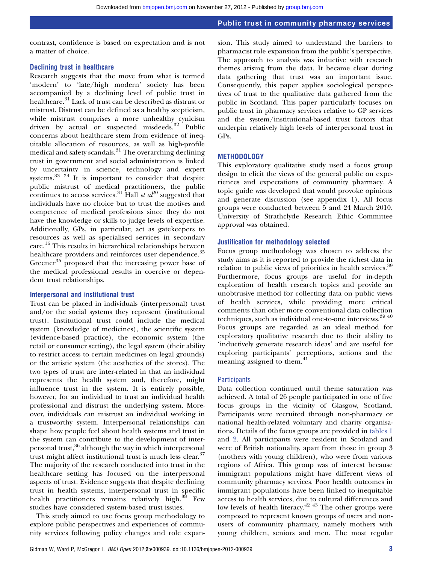contrast, confidence is based on expectation and is not a matter of choice.

#### Declining trust in healthcare

Research suggests that the move from what is termed 'modern' to 'late/high modern' society has been accompanied by a declining level of public trust in healthcare.<sup>31</sup> Lack of trust can be described as distrust or mistrust. Distrust can be defined as a healthy scepticism, while mistrust comprises a more unhealthy cynicism driven by actual or suspected misdeeds.<sup>32</sup> Public concerns about healthcare stem from evidence of inequitable allocation of resources, as well as high-profile medical and safety scandals.<sup>31</sup> The overarching declining trust in government and social administration is linked by uncertainty in science, technology and expert systems.33 34 It is important to consider that despite public mistrust of medical practitioners, the public continues to access services.<sup>31</sup> Hall *et al*<sup>20</sup> suggested that individuals have no choice but to trust the motives and competence of medical professions since they do not have the knowledge or skills to judge levels of expertise. Additionally, GPs, in particular, act as gatekeepers to resources as well as specialised services in secondary care.<sup>16</sup> This results in hierarchical relationships between healthcare providers and reinforces user dependence.<sup>35</sup> Greener $35$  proposed that the increasing power base of the medical professional results in coercive or dependent trust relationships.

#### Interpersonal and institutional trust

Trust can be placed in individuals (interpersonal) trust and/or the social systems they represent (institutional trust). Institutional trust could include the medical system (knowledge of medicines), the scientific system (evidence-based practice), the economic system (the retail or consumer setting), the legal system (their ability to restrict access to certain medicines on legal grounds) or the artistic system (the aesthetics of the stores). The two types of trust are inter-related in that an individual represents the health system and, therefore, might influence trust in the system. It is entirely possible, however, for an individual to trust an individual health professional and distrust the underlying system. Moreover, individuals can mistrust an individual working in a trustworthy system. Interpersonal relationships can shape how people feel about health systems and trust in the system can contribute to the development of interpersonal trust,<sup>36</sup> although the way in which interpersonal trust might affect institutional trust is much less clear.<sup>37</sup> The majority of the research conducted into trust in the healthcare setting has focused on the interpersonal aspects of trust. Evidence suggests that despite declining trust in health systems, interpersonal trust in specific health practitioners remains relatively high.<sup>38</sup> Few studies have considered system-based trust issues.

This study aimed to use focus group methodology to explore public perspectives and experiences of community services following policy changes and role expan-

sion. This study aimed to understand the barriers to pharmacist role expansion from the public's perspective. The approach to analysis was inductive with research themes arising from the data. It became clear during data gathering that trust was an important issue. Consequently, this paper applies sociological perspectives of trust to the qualitative data gathered from the public in Scotland. This paper particularly focuses on public trust in pharmacy services relative to GP services and the system/institutional-based trust factors that underpin relatively high levels of interpersonal trust in GPs.

# **METHODOLOGY**

This exploratory qualitative study used a focus group design to elicit the views of the general public on experiences and expectations of community pharmacy. A topic guide was developed that would provoke opinions and generate discussion (see appendix 1). All focus groups were conducted between 5 and 24 March 2010. University of Strathclyde Research Ethic Committee approval was obtained.

#### Justification for methodology selected

Focus group methodology was chosen to address the study aims as it is reported to provide the richest data in relation to public views of priorities in health services.<sup>39</sup> Furthermore, focus groups are useful for in-depth exploration of health research topics and provide an unobtrusive method for collecting data on public views of health services, while providing more critical comments than other more conventional data collection techniques, such as individual one-to-one interviews.<sup>39 40</sup> Focus groups are regarded as an ideal method for exploratory qualitative research due to their ability to 'inductively generate research ideas' and are useful for exploring participants' perceptions, actions and the meaning assigned to them.<sup>41</sup>

#### **Participants**

Data collection continued until theme saturation was achieved. A total of 26 people participated in one of five focus groups in the vicinity of Glasgow, Scotland. Participants were recruited through non-pharmacy or national health-related voluntary and charity organisations. Details of the focus groups are provided in tables 1 and 2. All participants were resident in Scotland and were of British nationality, apart from those in group 3 (mothers with young children), who were from various regions of Africa. This group was of interest because immigrant populations might have different views of community pharmacy services. Poor health outcomes in immigrant populations have been linked to inequitable access to health services, due to cultural differences and low levels of health literacy.<sup>42 43</sup> The other groups were composed to represent known groups of users and nonusers of community pharmacy, namely mothers with young children, seniors and men. The most regular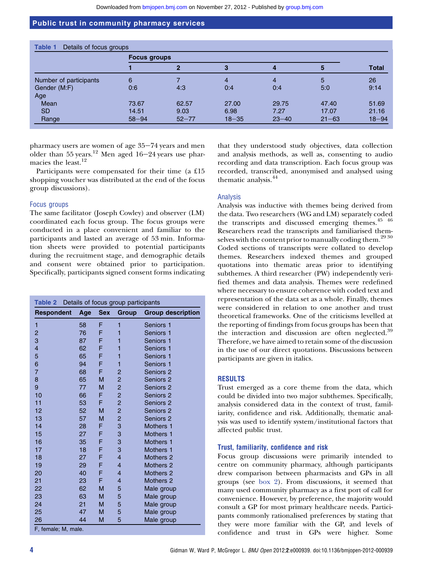|                        | <b>Focus groups</b> |                |           |           |           |              |  |
|------------------------|---------------------|----------------|-----------|-----------|-----------|--------------|--|
|                        |                     | $\overline{2}$ | 3         | 4         | 5         | <b>Total</b> |  |
| Number of participants | 6                   |                | 4         | 4         | 5         | 26           |  |
| Gender (M:F)<br>Age    | 0:6                 | 4:3            | 0:4       | 0:4       | 5:0       | 9:14         |  |
| Mean                   | 73.67               | 62.57          | 27.00     | 29.75     | 47.40     | 51.69        |  |
| <b>SD</b>              | 14.51               | 9.03           | 6.98      | 7.27      | 17.07     | 21.16        |  |
| Range                  | $58 - 94$           | $52 - 77$      | $18 - 35$ | $23 - 40$ | $21 - 63$ | $18 - 94$    |  |

pharmacy users are women of age  $35-74$  years and men older than 55 years.<sup>12</sup> Men aged 16-24 years use pharmacies the least.<sup>12</sup>

Participants were compensated for their time (a £15 shopping voucher was distributed at the end of the focus group discussions).

# Focus groups

The same facilitator (Joseph Cowley) and observer (LM) coordinated each focus group. The focus groups were conducted in a place convenient and familiar to the participants and lasted an average of 53 min. Information sheets were provided to potential participants during the recruitment stage, and demographic details and consent were obtained prior to participation. Specifically, participants signed consent forms indicating

| <b>Respondent</b> | Age | <b>Sex</b> | Group          | <b>Group description</b> |
|-------------------|-----|------------|----------------|--------------------------|
| 1                 | 58  | F          | 1              | Seniors 1                |
| $\overline{2}$    | 76  | F          | 1              | Seniors 1                |
| 3                 | 87  | F          | 1              | Seniors 1                |
| $\overline{4}$    | 62  | F          | 1              | Seniors 1                |
| 5                 | 65  | F          | 1              | Seniors <sub>1</sub>     |
| 6                 | 94  | F          | 1              | Seniors 1                |
| $\overline{7}$    | 68  | F          | $\overline{c}$ | Seniors <sub>2</sub>     |
| 8                 | 65  | M          | $\overline{c}$ | Seniors <sub>2</sub>     |
| 9                 | 77  | М          | $\overline{c}$ | Seniors <sub>2</sub>     |
| 10                | 66  | F          | $\overline{c}$ | Seniors <sub>2</sub>     |
| 11                | 53  | F          | $\overline{c}$ | Seniors <sub>2</sub>     |
| 12                | 52  | M          | $\overline{c}$ | Seniors <sub>2</sub>     |
| 13                | 57  | М          | $\overline{c}$ | Seniors <sub>2</sub>     |
| 14                | 28  | F          | 3              | Mothers 1                |
| 15                | 27  | F          | 3              | Mothers 1                |
| 16                | 35  | F          | 3              | Mothers 1                |
| 17                | 18  | F          | 3              | Mothers 1                |
| 18                | 27  | F          | 4              | Mothers 2                |
| 19                | 29  | F          | $\overline{4}$ | Mothers 2                |
| 20                | 40  | F          | 4              | Mothers 2                |
| 21                | 23  | F          | $\overline{4}$ | Mothers 2                |
| 22                | 62  | М          | 5              | Male group               |
| 23                | 63  | М          | 5              | Male group               |
| 24                | 21  | М          | 5              | Male group               |
| 25                | 47  | M          | 5              | Male group               |
| 26                | 44  | M          | 5              | Male group               |

that they understood study objectives, data collection and analysis methods, as well as, consenting to audio recording and data transcription. Each focus group was recorded, transcribed, anonymised and analysed using thematic analysis.<sup>44</sup>

## Analysis

Analysis was inductive with themes being derived from the data. Two researchers (WG and LM) separately coded the transcripts and discussed emerging themes.45 <sup>46</sup> Researchers read the transcripts and familiarised themselves with the content prior to manually coding them.<sup>29 30</sup> Coded sections of transcripts were collated to develop themes. Researchers indexed themes and grouped quotations into thematic areas prior to identifying subthemes. A third researcher (PW) independently verified themes and data analysis. Themes were redefined where necessary to ensure coherence with coded text and representation of the data set as a whole. Finally, themes were considered in relation to one another and trust theoretical frameworks. One of the criticisms levelled at the reporting of findings from focus groups has been that the interaction and discussion are often neglected.<sup>39</sup> Therefore, we have aimed to retain some of the discussion in the use of our direct quotations. Discussions between participants are given in italics.

# RESULTS

Trust emerged as a core theme from the data, which could be divided into two major subthemes. Specifically, analysis considered data in the context of trust, familiarity, confidence and risk. Additionally, thematic analysis was used to identify system/institutional factors that affected public trust.

# Trust, familiarity, confidence and risk

Focus group discussions were primarily intended to centre on community pharmacy, although participants drew comparison between pharmacists and GPs in all groups (see box 2). From discussions, it seemed that many used community pharmacy as a first port of call for convenience. However, by preference, the majority would consult a GP for most primary healthcare needs. Participants commonly rationalised preferences by stating that they were more familiar with the GP, and levels of confidence and trust in GPs were higher. Some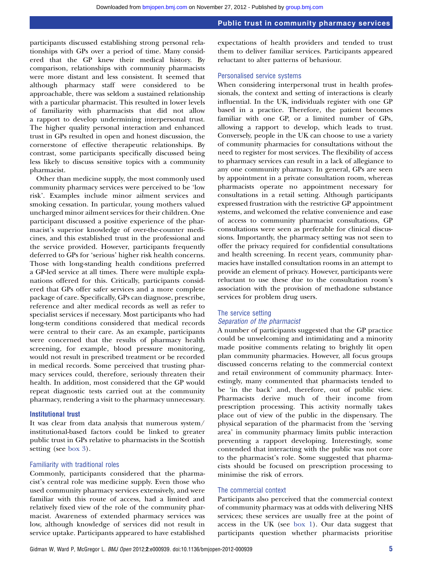participants discussed establishing strong personal relationships with GPs over a period of time. Many considered that the GP knew their medical history. By comparison, relationships with community pharmacists were more distant and less consistent. It seemed that although pharmacy staff were considered to be approachable, there was seldom a sustained relationship with a particular pharmacist. This resulted in lower levels of familiarity with pharmacists that did not allow a rapport to develop undermining interpersonal trust. The higher quality personal interaction and enhanced trust in GPs resulted in open and honest discussion, the cornerstone of effective therapeutic relationships. By contrast, some participants specifically discussed being less likely to discuss sensitive topics with a community pharmacist.

Other than medicine supply, the most commonly used community pharmacy services were perceived to be 'low risk'. Examples include minor ailment services and smoking cessation. In particular, young mothers valued uncharged minor ailment services for their children. One participant discussed a positive experience of the pharmacist's superior knowledge of over-the-counter medicines, and this established trust in the professional and the service provided. However, participants frequently deferred to GPs for 'serious' higher risk health concerns. Those with long-standing health conditions preferred a GP-led service at all times. There were multiple explanations offered for this. Critically, participants considered that GPs offer safer services and a more complete package of care. Specifically, GPs can diagnose, prescribe, reference and alter medical records as well as refer to specialist services if necessary. Most participants who had long-term conditions considered that medical records were central to their care. As an example, participants were concerned that the results of pharmacy health screening, for example, blood pressure monitoring, would not result in prescribed treatment or be recorded in medical records. Some perceived that trusting pharmacy services could, therefore, seriously threaten their health. In addition, most considered that the GP would repeat diagnostic tests carried out at the community pharmacy, rendering a visit to the pharmacy unnecessary.

#### Institutional trust

It was clear from data analysis that numerous system/ institutional-based factors could be linked to greater public trust in GPs relative to pharmacists in the Scottish setting (see box 3).

#### Familiarity with traditional roles

Commonly, participants considered that the pharmacist's central role was medicine supply. Even those who used community pharmacy services extensively, and were familiar with this route of access, had a limited and relatively fixed view of the role of the community pharmacist. Awareness of extended pharmacy services was low, although knowledge of services did not result in service uptake. Participants appeared to have established

expectations of health providers and tended to trust them to deliver familiar services. Participants appeared reluctant to alter patterns of behaviour.

#### Personalised service systems

When considering interpersonal trust in health professionals, the context and setting of interactions is clearly influential. In the UK, individuals register with one GP based in a practice. Therefore, the patient becomes familiar with one GP, or a limited number of GPs, allowing a rapport to develop, which leads to trust. Conversely, people in the UK can choose to use a variety of community pharmacies for consultations without the need to register for most services. The flexibility of access to pharmacy services can result in a lack of allegiance to any one community pharmacy. In general, GPs are seen by appointment in a private consultation room, whereas pharmacists operate no appointment necessary for consultations in a retail setting. Although participants expressed frustration with the restrictive GP appointment systems, and welcomed the relative convenience and ease of access to community pharmacist consultations, GP consultations were seen as preferable for clinical discussions. Importantly, the pharmacy setting was not seen to offer the privacy required for confidential consultations and health screening. In recent years, community pharmacies have installed consultation rooms in an attempt to provide an element of privacy. However, participants were reluctant to use these due to the consultation room's association with the provision of methadone substance services for problem drug users.

# The service setting Separation of the pharmacist

A number of participants suggested that the GP practice could be unwelcoming and intimidating and a minority made positive comments relating to brightly lit open plan community pharmacies. However, all focus groups discussed concerns relating to the commercial context and retail environment of community pharmacy. Interestingly, many commented that pharmacists tended to be 'in the back' and, therefore, out of public view. Pharmacists derive much of their income from prescription processing. This activity normally takes place out of view of the public in the dispensary. The physical separation of the pharmacist from the 'serving area' in community pharmacy limits public interaction preventing a rapport developing. Interestingly, some contended that interacting with the public was not core to the pharmacist's role. Some suggested that pharmacists should be focused on prescription processing to minimise the risk of errors.

#### The commercial context

Participants also perceived that the commercial context of community pharmacy was at odds with delivering NHS services; these services are usually free at the point of access in the UK (see box 1). Our data suggest that participants question whether pharmacists prioritise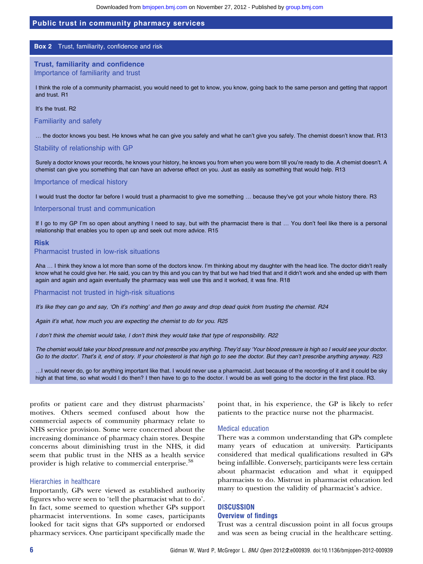# Box 2 Trust, familiarity, confidence and risk

# Trust, familiarity and confidence Importance of familiarity and trust

I think the role of a community pharmacist, you would need to get to know, you know, going back to the same person and getting that rapport and trust. R1

#### It's the trust. R2

Familiarity and safety

. the doctor knows you best. He knows what he can give you safely and what he can't give you safely. The chemist doesn't know that. R13

#### Stability of relationship with GP

Surely a doctor knows your records, he knows your history, he knows you from when you were born till you're ready to die. A chemist doesn't. A chemist can give you something that can have an adverse effect on you. Just as easily as something that would help. R13

#### Importance of medical history

I would trust the doctor far before I would trust a pharmacist to give me something ... because they've got your whole history there. R3

#### Interpersonal trust and communication

If I go to my GP I'm so open about anything I need to say, but with the pharmacist there is that ... You don't feel like there is a personal relationship that enables you to open up and seek out more advice. R15

#### Risk

#### Pharmacist trusted in low-risk situations

Aha ... I think they know a lot more than some of the doctors know. I'm thinking about my daughter with the head lice. The doctor didn't really know what he could give her. He said, you can try this and you can try that but we had tried that and it didn't work and she ended up with them again and again and again eventually the pharmacy was well use this and it worked, it was fine. R18

#### Pharmacist not trusted in high-risk situations

It's like they can go and say, 'Oh it's nothing' and then go away and drop dead quick from trusting the chemist. R24

Again it's what, how much you are expecting the chemist to do for you. R25

I don't think the chemist would take, I don't think they would take that type of responsibility. R22

The chemist would take your blood pressure and not prescribe you anything. They'd say 'Your blood pressure is high so I would see your doctor. Go to the doctor'. That's it, end of story. If your cholesterol is that high go to see the doctor. But they can't prescribe anything anyway. R23

...I would never do, go for anything important like that. I would never use a pharmacist. Just because of the recording of it and it could be sky high at that time, so what would I do then? I then have to go to the doctor. I would be as well going to the doctor in the first place. R3.

profits or patient care and they distrust pharmacists' motives. Others seemed confused about how the commercial aspects of community pharmacy relate to NHS service provision. Some were concerned about the increasing dominance of pharmacy chain stores. Despite concerns about diminishing trust in the NHS, it did seem that public trust in the NHS as a health service provider is high relative to commercial enterprise.<sup>38</sup>

#### Hierarchies in healthcare

Importantly, GPs were viewed as established authority figures who were seen to 'tell the pharmacist what to do'. In fact, some seemed to question whether GPs support pharmacist interventions. In some cases, participants looked for tacit signs that GPs supported or endorsed pharmacy services. One participant specifically made the

point that, in his experience, the GP is likely to refer patients to the practice nurse not the pharmacist.

#### Medical education

There was a common understanding that GPs complete many years of education at university. Participants considered that medical qualifications resulted in GPs being infallible. Conversely, participants were less certain about pharmacist education and what it equipped pharmacists to do. Mistrust in pharmacist education led many to question the validity of pharmacist's advice.

# **DISCUSSION**

#### Overview of findings

Trust was a central discussion point in all focus groups and was seen as being crucial in the healthcare setting.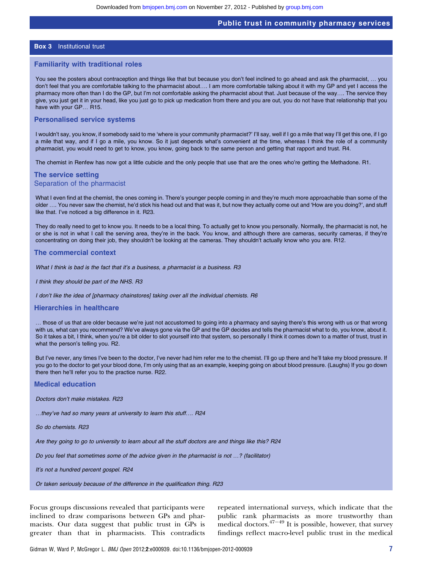# Box 3 Institutional trust

## Familiarity with traditional roles

You see the posters about contraception and things like that but because you don't feel inclined to go ahead and ask the pharmacist, ... you don't feel that you are comfortable talking to the pharmacist about.. I am more comfortable talking about it with my GP and yet I access the pharmacy more often than I do the GP, but I'm not comfortable asking the pharmacist about that. Just because of the way.. The service they give, you just get it in your head, like you just go to pick up medication from there and you are out, you do not have that relationship that you have with your GP... R15.

#### Personalised service systems

I wouldn't say, you know, if somebody said to me 'where is your community pharmacist?' I'll say, well if I go a mile that way I'll get this one, if I go a mile that way, and if I go a mile, you know. So it just depends what's convenient at the time, whereas I think the role of a community pharmacist, you would need to get to know, you know, going back to the same person and getting that rapport and trust. R4.

The chemist in Renfew has now got a little cubicle and the only people that use that are the ones who're getting the Methadone. R1.

#### The service setting

#### Separation of the pharmacist

What I even find at the chemist, the ones coming in. There's younger people coming in and they're much more approachable than some of the older .. You never saw the chemist, he'd stick his head out and that was it, but now they actually come out and 'How are you doing?', and stuff like that. I've noticed a big difference in it. R23.

They do really need to get to know you. It needs to be a local thing. To actually get to know you personally. Normally, the pharmacist is not, he or she is not in what I call the serving area, they're in the back. You know, and although there are cameras, security cameras, if they're concentrating on doing their job, they shouldn't be looking at the cameras. They shouldn't actually know who you are. R12.

#### The commercial context

What I think is bad is the fact that it's a business, a pharmacist is a business. R3

I think they should be part of the NHS. R3

I don't like the idea of [pharmacy chainstores] taking over all the individual chemists. R6

#### Hierarchies in healthcare

. those of us that are older because we're just not accustomed to going into a pharmacy and saying there's this wrong with us or that wrong with us, what can you recommend? We've always gone via the GP and the GP decides and tells the pharmacist what to do, you know, about it. So it takes a bit, I think, when you're a bit older to slot yourself into that system, so personally I think it comes down to a matter of trust, trust in what the person's telling you. R2.

But I've never, any times I've been to the doctor, I've never had him refer me to the chemist. I'll go up there and he'll take my blood pressure. If you go to the doctor to get your blood done, I'm only using that as an example, keeping going on about blood pressure. (Laughs) If you go down there then he'll refer you to the practice nurse. R22.

#### Medical education

Doctors don't make mistakes. R23

...they've had so many years at university to learn this stuff.... R24

So do chemists. R23

Are they going to go to university to learn about all the stuff doctors are and things like this? R24

Do you feel that sometimes some of the advice given in the pharmacist is not ...? (facilitator)

It's not a hundred percent gospel. R24

Or taken seriously because of the difference in the qualification thing. R23

Focus groups discussions revealed that participants were inclined to draw comparisons between GPs and pharmacists. Our data suggest that public trust in GPs is greater than that in pharmacists. This contradicts

repeated international surveys, which indicate that the public rank pharmacists as more trustworthy than medical doctors.<sup>47-49</sup> It is possible, however, that survey findings reflect macro-level public trust in the medical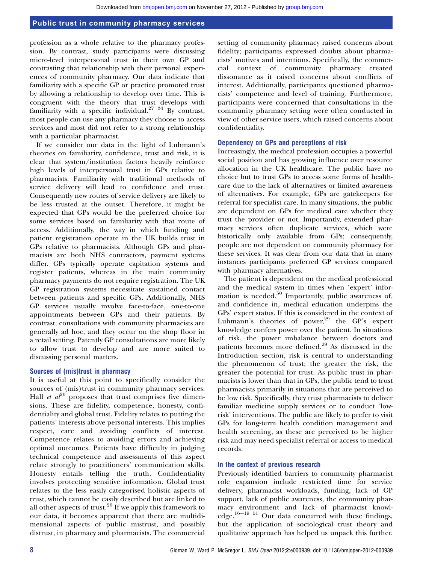profession as a whole relative to the pharmacy profession. By contrast, study participants were discussing micro-level interpersonal trust in their own GP and contrasting that relationship with their personal experiences of community pharmacy. Our data indicate that familiarity with a specific GP or practice promoted trust by allowing a relationship to develop over time. This is congruent with the theory that trust develops with familiarity with a specific individual.<sup>27</sup> <sup>34</sup> By contrast, most people can use any pharmacy they choose to access services and most did not refer to a strong relationship with a particular pharmacist.

If we consider our data in the light of Luhmann's theories on familiarity, confidence, trust and risk, it is clear that system/institution factors heavily reinforce high levels of interpersonal trust in GPs relative to pharmacists. Familiarity with traditional methods of service delivery will lead to confidence and trust. Consequently new routes of service delivery are likely to be less trusted at the outset. Therefore, it might be expected that GPs would be the preferred choice for some services based on familiarity with that route of access. Additionally, the way in which funding and patient registration operate in the UK builds trust in GPs relative to pharmacists. Although GPs and pharmacists are both NHS contractors, payment systems differ. GPs typically operate capitation systems and register patients, whereas in the main community pharmacy payments do not require registration. The UK GP registration systems necessitate sustained contact between patients and specific GPs. Additionally, NHS GP services usually involve face-to-face, one-to-one appointments between GPs and their patients. By contrast, consultations with community pharmacists are generally ad hoc, and they occur on the shop floor in a retail setting. Patently GP consultations are more likely to allow trust to develop and are more suited to discussing personal matters.

#### Sources of (mis)trust in pharmacy

It is useful at this point to specifically consider the sources of (mis)trust in community pharmacy services. Hall *et al*<sup>20</sup> proposes that trust comprises five dimensions. These are fidelity, competence, honesty, confidentiality and global trust. Fidelity relates to putting the patients' interests above personal interests. This implies respect, care and avoiding conflicts of interest. Competence relates to avoiding errors and achieving optimal outcomes. Patients have difficulty in judging technical competence and assessments of this aspect relate strongly to practitioners' communication skills. Honesty entails telling the truth. Confidentiality involves protecting sensitive information. Global trust relates to the less easily categorised holistic aspects of trust, which cannot be easily described but are linked to all other aspects of trust.<sup>20</sup> If we apply this framework to our data, it becomes apparent that there are multidimensional aspects of public mistrust, and possibly distrust, in pharmacy and pharmacists. The commercial setting of community pharmacy raised concerns about fidelity; participants expressed doubts about pharmacists' motives and intentions. Specifically, the commercial context of community pharmacy created dissonance as it raised concerns about conflicts of interest. Additionally, participants questioned pharmacists' competence and level of training. Furthermore, participants were concerned that consultations in the community pharmacy setting were often conducted in view of other service users, which raised concerns about confidentiality.

# Dependency on GPs and perceptions of risk

Increasingly, the medical profession occupies a powerful social position and has growing influence over resource allocation in the UK healthcare. The public have no choice but to trust GPs to access some forms of healthcare due to the lack of alternatives or limited awareness of alternatives. For example, GPs are gatekeepers for referral for specialist care. In many situations, the public are dependent on GPs for medical care whether they trust the provider or not. Importantly, extended pharmacy services often duplicate services, which were historically only available from GPs; consequently, people are not dependent on community pharmacy for these services. It was clear from our data that in many instances participants preferred GP services compared with pharmacy alternatives.

The patient is dependent on the medical professional and the medical system in times when 'expert' information is needed. $50$  Importantly, public awareness of, and confidence in, medical education underpins the GPs' expert status. If this is considered in the context of Luhmann's theories of power, $29$  the GP's expert knowledge confers power over the patient. In situations of risk, the power imbalance between doctors and patients becomes more defined.<sup>29</sup> As discussed in the Introduction section, risk is central to understanding the phenomenon of trust; the greater the risk, the greater the potential for trust. As public trust in pharmacists is lower than that in GPs, the public tend to trust pharmacists primarily in situations that are perceived to be low risk. Specifically, they trust pharmacists to deliver familiar medicine supply services or to conduct 'lowrisk' interventions. The public are likely to prefer to visit GPs for long-term health condition management and health screening, as these are perceived to be higher risk and may need specialist referral or access to medical records.

#### In the context of previous research

Previously identified barriers to community pharmacist role expansion include restricted time for service delivery, pharmacist workloads, funding, lack of GP support, lack of public awareness, the community pharmacy environment and lack of pharmacist knowledge.<sup>16-19 51</sup> Our data concurred with these findings, but the application of sociological trust theory and qualitative approach has helped us unpack this further.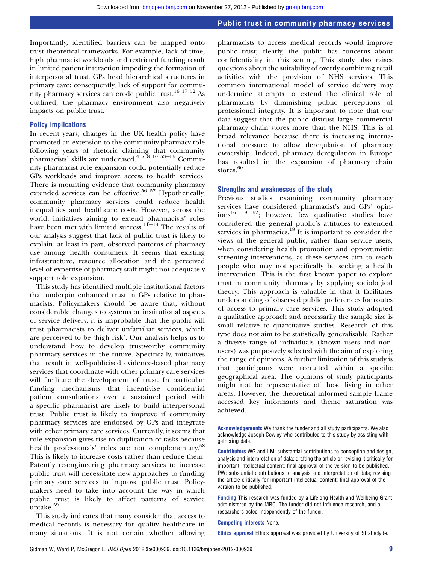Importantly, identified barriers can be mapped onto trust theoretical frameworks. For example, lack of time, high pharmacist workloads and restricted funding result in limited patient interaction impeding the formation of interpersonal trust. GPs head hierarchical structures in primary care; consequently, lack of support for community pharmacy services can erode public trust.<sup>16 17 52</sup> As outlined, the pharmacy environment also negatively impacts on public trust.

# Policy implications

In recent years, changes in the UK health policy have promoted an extension to the community pharmacy role following years of rhetoric claiming that community<br>pharmacists' skills are underused.<sup>478 1053–55</sup> Community pharmacist role expansion could potentially reduce GPs workloads and improve access to health services. There is mounting evidence that community pharmacy extended services can be effective.<sup>56 57</sup> Hypothetically, community pharmacy services could reduce health inequalities and healthcare costs. However, across the world, initiatives aiming to extend pharmacists' roles have been met with limited success.<sup>11-14</sup> The results of our analysis suggest that lack of public trust is likely to explain, at least in part, observed patterns of pharmacy use among health consumers. It seems that existing infrastructure, resource allocation and the perceived level of expertise of pharmacy staff might not adequately support role expansion.

This study has identified multiple institutional factors that underpin enhanced trust in GPs relative to pharmacists. Policymakers should be aware that, without considerable changes to systems or institutional aspects of service delivery, it is improbable that the public will trust pharmacists to deliver unfamiliar services, which are perceived to be 'high risk'. Our analysis helps us to understand how to develop trustworthy community pharmacy services in the future. Specifically, initiatives that result in well-publicised evidence-based pharmacy services that coordinate with other primary care services will facilitate the development of trust. In particular, funding mechanisms that incentivise confidential patient consultations over a sustained period with a specific pharmacist are likely to build interpersonal trust. Public trust is likely to improve if community pharmacy services are endorsed by GPs and integrate with other primary care services. Currently, it seems that role expansion gives rise to duplication of tasks because health professionals' roles are not complementary.<sup>58</sup> This is likely to increase costs rather than reduce them. Patently re-engineering pharmacy services to increase public trust will necessitate new approaches to funding primary care services to improve public trust. Policymakers need to take into account the way in which public trust is likely to affect patterns of service uptake.<sup>59</sup>

This study indicates that many consider that access to medical records is necessary for quality healthcare in many situations. It is not certain whether allowing

pharmacists to access medical records would improve public trust; clearly, the public has concerns about confidentiality in this setting. This study also raises questions about the suitability of overtly combining retail activities with the provision of NHS services. This common international model of service delivery may undermine attempts to extend the clinical role of pharmacists by diminishing public perceptions of professional integrity. It is important to note that our data suggest that the public distrust large commercial pharmacy chain stores more than the NHS. This is of broad relevance because there is increasing international pressure to allow deregulation of pharmacy ownership. Indeed, pharmacy deregulation in Europe has resulted in the expansion of pharmacy chain stores.<sup>60</sup>

#### Strengths and weaknesses of the study

Previous studies examining community pharmacy services have considered pharmacist's and GPs' opin- $\frac{16}{19}$   $\frac{15}{19}$   $\frac{52}{32}$ ; however, few qualitative studies have considered the general public's attitudes to extended services in pharmacies.<sup>18</sup> It is important to consider the views of the general public, rather than service users, when considering health promotion and opportunistic screening interventions, as these services aim to reach people who may not specifically be seeking a health intervention. This is the first known paper to explore trust in community pharmacy by applying sociological theory. This approach is valuable in that it facilitates understanding of observed public preferences for routes of access to primary care services. This study adopted a qualitative approach and necessarily the sample size is small relative to quantitative studies. Research of this type does not aim to be statistically generalisable. Rather a diverse range of individuals (known users and nonusers) was purposively selected with the aim of exploring the range of opinions. A further limitation of this study is that participants were recruited within a specific geographical area. The opinions of study participants might not be representative of those living in other areas. However, the theoretical informed sample frame accessed key informants and theme saturation was achieved.

Acknowledgements We thank the funder and all study participants. We also acknowledge Joseph Cowley who contributed to this study by assisting with gathering data.

Contributors WG and LM: substantial contributions to conception and design, analysis and interpretation of data; drafting the article or revising it critically for important intellectual content; final approval of the version to be published. PW: substantial contributions to analysis and interpretation of data; revising the article critically for important intellectual content; final approval of the version to be published.

Funding This research was funded by a Lifelong Health and Wellbeing Grant administered by the MRC. The funder did not influence research, and all researchers acted independently of the funder.

#### Competing interests None.

Ethics approval Ethics approval was provided by University of Strathclyde.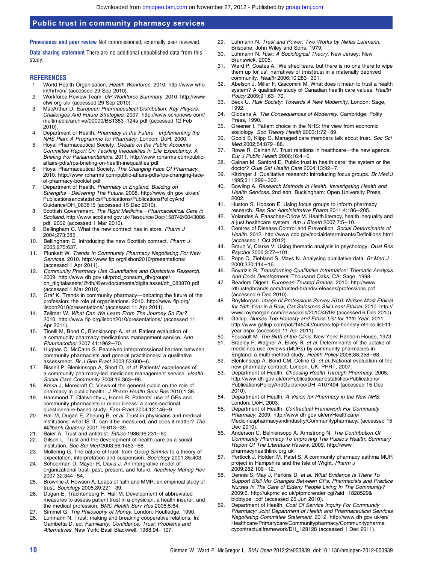Provenance and peer review Not commissioned; externally peer reviewed.

Data sharing statement There are no additional unpublished data from this study.

#### REFERENCES

- 1. World Health Organisation. Health Workforce. 2010. http://www who int/hrh/en/ (accessed 29 Sep 2010).
- 2. Workforce Review Team. GP Workforce Summary. 2010. http://www cfwi org uk/ (accessed 29 Sep 2010).
- MacArthur D. European Pharmaceutical Distribution: Key Players, Challenges And Future Strategies. 2007. http://www scripnews com/ multimedia/archive/00000/BS1353\_124a pdf (accessed 12 Feb 2010).
- 4. Department of Health. Pharmacy in the Future-Implementing the NHS Plan: A Programme for Pharmacy. London: DoH, 2000.
- 5. Royal Pharmaceutical Society. Debate on the Public Accounts Committee Report On Tackling Inequalities In Life Expectancy: A Briefing For Parliamentarians. 2011. http://www rpharms com/publicaffairs-pdfs/rps-briefing-on-health-inequalities pdf
- Royal Pharmaceutical Society. The Changing Face Of Pharmacy. 2010. http://www rpharms com/public-affairs-pdfs/rps-changing-faceof-pharmacy-booklet pdf
- 7. Department of Health. Pharmacy in England. Building on Strengths-Delivering The Future. 2008. http://www dh gov uk/en/ Publicationsandstatistics/Publications/PublicationsPolicyAnd Guidance/DH\_083815 (accessed 15 Dec 2010).
- 8. Scottish Government. The Right Medicine-Pharmaceutical Care in Scotland. http://www scotland gov uk/Resource/Doc/158742/0043086 pdf. 2002 (accessed 1 Mar 2010).
- 9. Bellingham C. What the new contract has in store. Pharm J 2004;273:385.
- 10. Bellingham C. Introducing the new Scottish contract. Pharm J 2005;275:637.
- 11. Plunkett W. Trends In Community Pharmacy Negotiating For New Services. 2010. http://www fip org/lisbon2010/presentations/ (accessed 1 Apr 2011).
- 12. Community Pharmacy Use Quantitative and Qualitative Research. 2009. http://www dh gov uk/prod\_consum\_dh/groups/ dh\_digitalassets/@dh/@en/documents/digitalasset/dh\_083870 pdf (accessed 1 Mar 2010).
- 13. Graf K. Trends in community pharmacy-debating the future of the profession: the role of organisations. 2010. http://www fip org/ lisbon2010/presentations/ (accessed 11 Apr 2011).
- 14. Zellmer W. What Can We Learn From The Journey So Far? 2010. http://www fip org/lisbon2010/presentations/ (accessed 11 Apr 2011).
- 15. Tinelli M, Bond C, Blenkinsopp A, et al. Patient evaluation of a community pharmacy medications management service. Ann Pharmacother 2007;41:1962-70.
- 16. Hughes C, McCann S. Perceived interprofessional barriers between community pharmacists and general practitioners: a qualitative assessment. Br J Gen Pract  $2003;53:600-6$ .
- 17. Bissell P, Blenkinsopp A, Short D, et al. Patients' experiences of a community pharmacy-led medicines management service. Health Social Care Community 2008;16:363-96.
- 18. Krska J, Morecroft C. Views of the general public on the role of pharmacy in public health. J Pharm Health Serv Res 2010;1:38.
- 19. Hammond T, Clatworthy J, Horne R. Patients' use of GPs and community pharmacists in minor illness: a cross-sectional questionnaire-based study. Fam Pract 2004;12:146-9.
- 20. Hall M, Dugan E, Zheung B, et al. Trust in physicians and medical institutions: what IS IT, can it be measured, and does it matter? The Millbank Quaterly 2001;79:613-39.
- 21. Baier A. Trust and antitrust. *Ethics* 1986;96:231-60.<br>22. Gilson L. Trust and the development of health care
- Gilson L. Trust and the development of health care as a social institution. Soc Sci Med 2003;56:1453-68.
- 23. Mollering G. The nature of trust: from Georg Simmel to a theory of expectation, interpretation and suspension. Sociology 2001;35:403.
- 24. Schoorman D, Mayer R, Davis J. An intergrative model of organizational trust: past, present, and future. Acadmey Manag Rev 2007;32:344-54.
- 25. Brownlie J, Howson A. Leaps of faith and MMR: an empirical study of trust. Sociology 2005;39:221-39.
- 26. Dugan E, Trachtenberg F, Hall M. Development of abbreviated measures to assess patient trust in a physician, a health insurer, and the medical profession. BMC Health Serv Res 2005;5:64.
- 27. Simmel G. The Philosophy of Money. London: Routledge, 1990.<br>28. Luhmann N. Trust: making and breaking cooperative relations. In
- Luhmann N. Trust: making and breaking cooperative relations. In: Gambetta D, ed. Familiarity, Confidence, Trust: Problems and Alternatives. New York: Basil Blackwell, 1988:94-107.
- 29. Luhmann N. Trust and Power: Two Works by Niklas Luhmann. Brisbane: John Wiley and Sons, 1979.
- 30. Luhmann N. Risk: A Sociological Theory. New Jersey: New Brunswick, 2005.
- 31. Ward P, Coates A. 'We shed tears, but there is no one there to wipe them up for us': narratives of (mis)trust in a materially deprived community. Health 2006;10:283-301.
- 32. Abelson J, Miller F, Giacomini M. What does it mean to trust a health system? A qualitative study of Canadian health care values. Health  $Policy 2009;91:63-70.$
- 33. Beck U. Risk Society: Towards A New Modernity. London: Sage, 1992.
- 34. Giddens A. The Consequences of Modernity. Cambridge: Polity Press, 1990.
- 35. Greener I. Patient choice in the NHS: the view from economic sociology. Soc Theory Health 2003;1:72-89.
- 36. Goold S, Klipp G. Managed care members talk about trust. Soc Sci Med 2002;54:879-88.
- 37. Rowe R, Calnan M. Trust relations in healthcare—the new agenda. Eur J Public Health 2006;16:4-6.
- 38. Calnan M, Sanford E. Public trust in health care: the system or the doctor? Qual Saf Health Care 2004;13:92-7.
- 39. Kitzinger J. Qualitative research: introducing focus groups. Br Med J 1995;311:299-302.
- 40. Bowling A. Research Methods in Health. Investigating Health and Health Services. 2nd edn. Buckingham: Open University Press, 2002.
- 41. Huston S, Hobson E. Using focus groups to inform pharmacy research. Res Soc Administrative Pharm 2011;4:186-205.
- 42. Volandes A, Paaschee-Orlow M. Health literacy, health inequality and a just healthcare system. Am J Bioeth  $2007;7:5-10$ .
- 43. Centres of Disease Control and Prevention. Social Determinants of Health. 2012. http://www cdc gov/socialdeterminants/Definitions html (accessed 1 Oct 2012).
- 44. Braun V, Clarke V. Using thematic analysis in psychology. Qual Res Psychol 2006;3:77-101.
- 45. Pope C, Ziebland S, Mays N. Analysing qualitative data. Br Med J 2000;320:114-16.
- 46. Boyatzis R. Transforming Qualitative Information: Thematic Analysis And Code Development. Thousand Oaks, CA: Sage, 1998.
- 47. Readers Digest. European Trusted Brands. 2010. http://www rdtrustedbrands com/trusted-brands/releases/professions pdf (accessed 6 Dec 2010).
- 48. RoyMorgan. Image of Professions Survey 2010: Nurses Most Ethical for 16th Year in a Row; Car Salesmen Still Least Ethical. 2010. http:// www roymorgan com/news/polls/2010/4518/ (accessed 6 Dec 2010).
- 49. Gallup. Nurses Top Honesty and Ethics List for 11th Year. 2011. http://www gallup com/poll/145043/nurses-top-honesty-ethics-list-11 year aspx (accessed 11 Apr 2011).
- 50. Foucault M. The Birth of the Clinic. New York: Random House, 1973.<br>51 Bradley F. Wagner A. Flyev B. et al. Determinants of the untake of
- Bradley F, Wagner A, Elvey R, et al. Determinants of the uptake of medicines use reviews (MURs) by community pharmacies in England: a multi-method study. Health Policy 2008;88:258-68.
- 52. Blenkinsopp A, Bond CM, Celino G, et al. National evaluation of the new pharmacy contract. London, UK: PPRT, 2007.
- 53. Department of Health. Choosing Health Through Pharmacy. 2005. http://www dh gov uk/en/Publicationsandstatistics/Publications/ PublicationsPolicyAndGuidance/DH\_4107494 (accessed 15 Dec 2010)
- 54. Department of Health. A Vision for Pharmacy in the New NHS. London: DoH, 2003.
- 55. Department of Health. Contractual Framework For Community Pharmacy. 2009. http://www dh gov uk/en/Healthcare/ Medicinespharmacyandindustry/Communitypharmacy/ (accessed 15 Dec 2010).
- 56. Anderson C, Belnkinsopp A, Armstrong N. The Contribution Of Community Pharmacy To Improving The Public's Health: Summary Report Of The Literature Review. 2009. http://www pharmacyhealthlink org uk
- 57. Portlock J, Holden M, Patel S. A community pharmacy asthma MUR project in Hampshire and the Isle of Wight. Pharm J 2009;282:109-12.
- 58. Dennis S, May J, Perkins D, et al. What Evidence Is There To Support Skill Mix Changes Between GPs, Pharmacists and Practice Nurses In The Care of Elderly People Living In The Community? 2009:6. http://ukpmc ac uk/ptpmcrender cgi?aid=1828529& blobtype=pdf (accessed 25 Jun 2010).
- 59. Department of Health. Cost Of Service Inquiry For Community Pharmacy: Joint Department of Health and Pharmaceutical Services Negotiating Committee Statement. 2012. http://www dh gov uk/en/ Healthcare/Primarycare/Communitypharmacy/Communitypharma cycontractualframework/DH\_128128 (accessed 1 Dec 2011).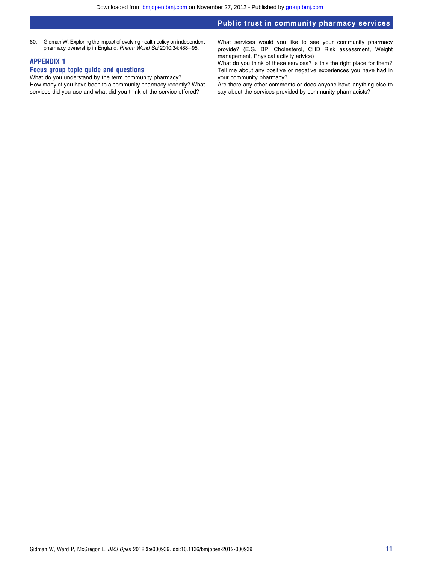60. Gidman W. Exploring the impact of evolving health policy on independent pharmacy ownership in England. Pharm World Sci 2010;34:488-95.

# APPENDIX 1

## Focus group topic guide and questions

What do you understand by the term community pharmacy? How many of you have been to a community pharmacy recently? What services did you use and what did you think of the service offered?

What services would you like to see your community pharmacy provide? (E.G. BP, Cholesterol, CHD Risk assessment, Weight management, Physical activity advice)

What do you think of these services? Is this the right place for them? Tell me about any positive or negative experiences you have had in your community pharmacy?

Are there any other comments or does anyone have anything else to say about the services provided by community pharmacists?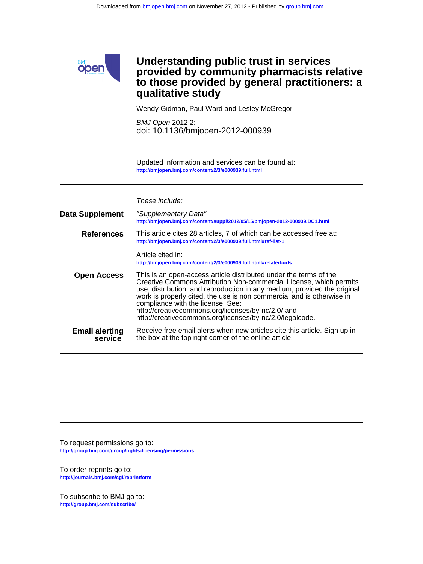

# **qualitative study to those provided by general practitioners: a provided by community pharmacists relative Understanding public trust in services**

Wendy Gidman, Paul Ward and Lesley McGregor

doi: 10.1136/bmjopen-2012-000939 BMJ Open 2012 2:

**<http://bmjopen.bmj.com/content/2/3/e000939.full.html>** Updated information and services can be found at:

|                                  | These include:                                                                                                                                                                                                                                                                                                                                                                                                                                      |  |  |
|----------------------------------|-----------------------------------------------------------------------------------------------------------------------------------------------------------------------------------------------------------------------------------------------------------------------------------------------------------------------------------------------------------------------------------------------------------------------------------------------------|--|--|
| Data Supplement                  | "Supplementary Data"<br>http://bmjopen.bmj.com/content/suppl/2012/05/15/bmjopen-2012-000939.DC1.html                                                                                                                                                                                                                                                                                                                                                |  |  |
| <b>References</b>                | This article cites 28 articles, 7 of which can be accessed free at:<br>http://bmjopen.bmj.com/content/2/3/e000939.full.html#ref-list-1                                                                                                                                                                                                                                                                                                              |  |  |
|                                  | Article cited in:<br>http://bmjopen.bmj.com/content/2/3/e000939.full.html#related-urls                                                                                                                                                                                                                                                                                                                                                              |  |  |
| <b>Open Access</b>               | This is an open-access article distributed under the terms of the<br>Creative Commons Attribution Non-commercial License, which permits<br>use, distribution, and reproduction in any medium, provided the original<br>work is properly cited, the use is non commercial and is otherwise in<br>compliance with the license. See:<br>http://creativecommons.org/licenses/by-nc/2.0/ and<br>http://creativecommons.org/licenses/by-nc/2.0/legalcode. |  |  |
| <b>Email alerting</b><br>service | Receive free email alerts when new articles cite this article. Sign up in<br>the box at the top right corner of the online article.                                                                                                                                                                                                                                                                                                                 |  |  |

**<http://group.bmj.com/group/rights-licensing/permissions>** To request permissions go to:

**<http://journals.bmj.com/cgi/reprintform>** To order reprints go to:

**<http://group.bmj.com/subscribe/>** To subscribe to BMJ go to: